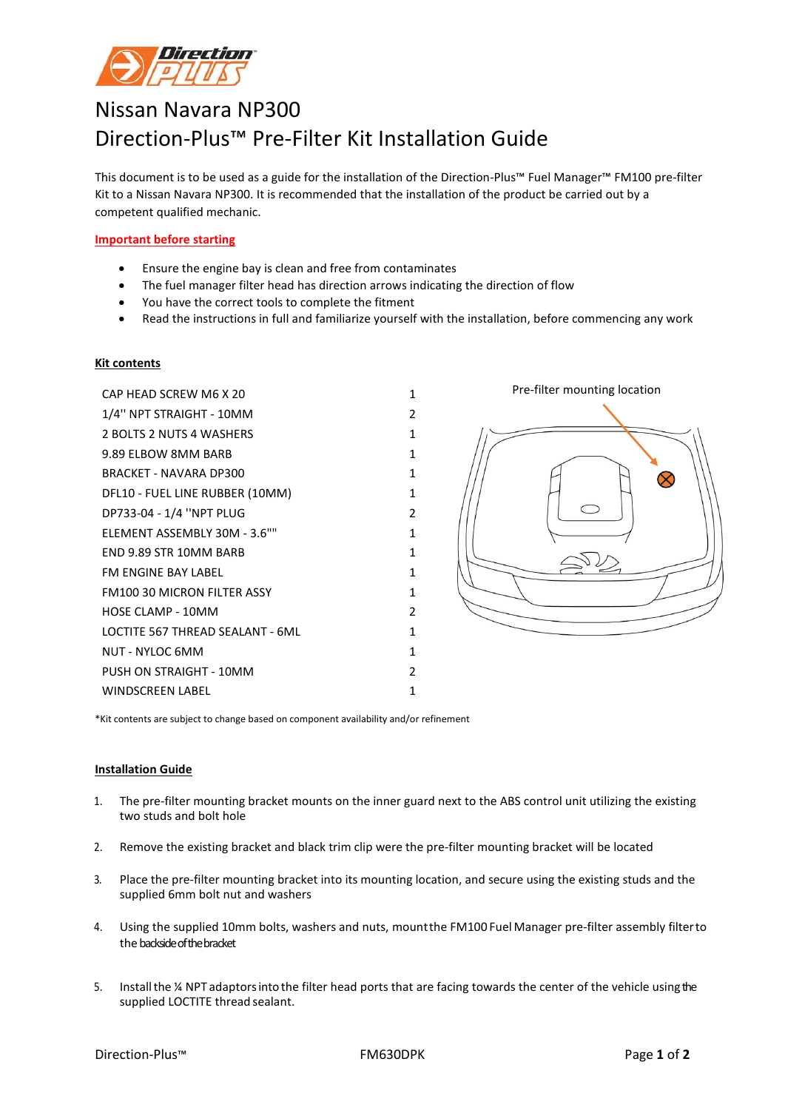

## Nissan Navara NP300 Direction-Plus™ Pre-Filter Kit Installation Guide

This document is to be used as a guide for the installation of the Direction-Plus™ Fuel Manager™ FM100 pre-filter Kit to a Nissan Navara NP300. It is recommended that the installation of the product be carried out by a competent qualified mechanic.

## **Important before starting**

- Ensure the engine bay is clean and free from contaminates
- The fuel manager filter head has direction arrows indicating the direction of flow
- You have the correct tools to complete the fitment
- Read the instructions in full and familiarize yourself with the installation, before commencing any work

## **Kit contents**

| CAP HEAD SCREW M6 X 20             | 1 |
|------------------------------------|---|
| 1/4" NPT STRAIGHT - 10MM           | 2 |
| 2 BOLTS 2 NUTS 4 WASHERS           | 1 |
| 9.89 ELBOW 8MM BARB                | 1 |
| <b>BRACKET - NAVARA DP300</b>      | 1 |
| DFL10 - FUEL LINE RUBBER (10MM)    | 1 |
| DP733-04 - 1/4 "NPT PLUG           | 2 |
| ELEMENT ASSEMBLY 30M - 3.6""       | 1 |
| END 9.89 STR 10MM BARB             | 1 |
| FM ENGINE BAY LABEL                | 1 |
| <b>FM100 30 MICRON FILTER ASSY</b> | 1 |
| HOSE CLAMP - 10MM                  | 2 |
| LOCTITE 567 THREAD SEALANT - 6ML   | 1 |
| NUT - NYLOC 6MM                    | 1 |
| PUSH ON STRAIGHT - 10MM            | 2 |
| <b>WINDSCREEN LABEL</b>            | 1 |



\*Kit contents are subject to change based on component availability and/or refinement

## **Installation Guide**

- 1. The pre-filter mounting bracket mounts on the inner guard next to the ABS control unit utilizing the existing two studs and bolt hole
- 2. Remove the existing bracket and black trim clip were the pre-filter mounting bracket will be located
- 3. Place the pre-filter mounting bracket into its mounting location, and secure using the existing studs and the supplied 6mm bolt nut and washers
- 4. Using the supplied 10mm bolts, washers and nuts, mountthe FM100 Fuel Manager pre-filter assembly filterto the backside of the bracket
- 5. Installthe ¼ NPT adaptorsinto the filter head ports that are facing towards the center of the vehicle using the supplied LOCTITE thread sealant.